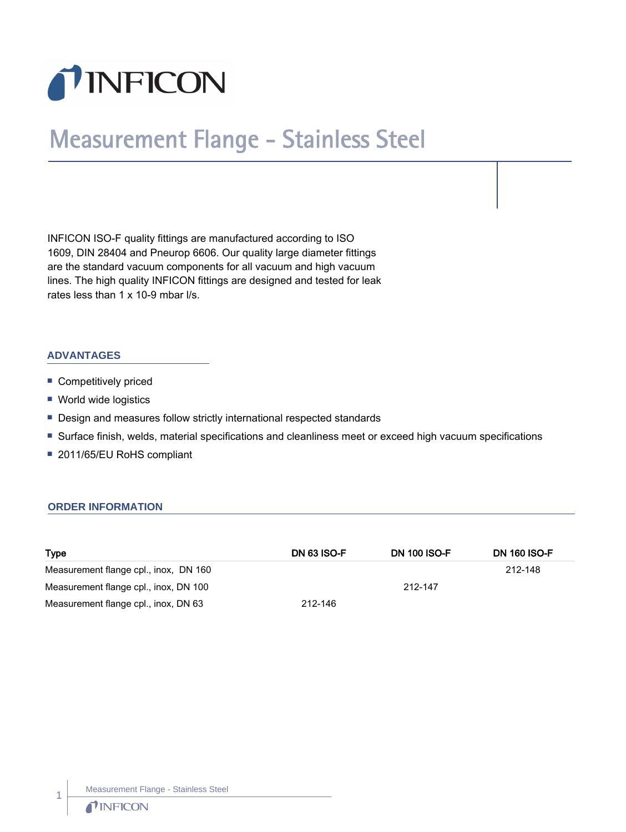

## Measurement Flange - Stainless Steel

INFICON ISO-F quality fittings are manufactured according to ISO 1609, DIN 28404 and Pneurop 6606. Our quality large diameter fittings are the standard vacuum components for all vacuum and high vacuum lines. The high quality INFICON fittings are designed and tested for leak rates less than 1 x 10-9 mbar l/s.

## **ADVANTAGES**

- **Competitively priced**
- World wide logistics
- Design and measures follow strictly international respected standards
- n Surface finish, welds, material specifications and cleanliness meet or exceed high vacuum specifications
- 2011/65/EU RoHS compliant

## **ORDER INFORMATION**

| <b>Type</b>                           | <b>DN 63 ISO-F</b> | <b>DN 100 ISO-F</b> | <b>DN 160 ISO-F</b> |
|---------------------------------------|--------------------|---------------------|---------------------|
| Measurement flange cpl., inox, DN 160 |                    |                     | 212-148             |
| Measurement flange cpl., inox, DN 100 |                    | 212-147             |                     |
| Measurement flange cpl., inox, DN 63  | 212-146            |                     |                     |